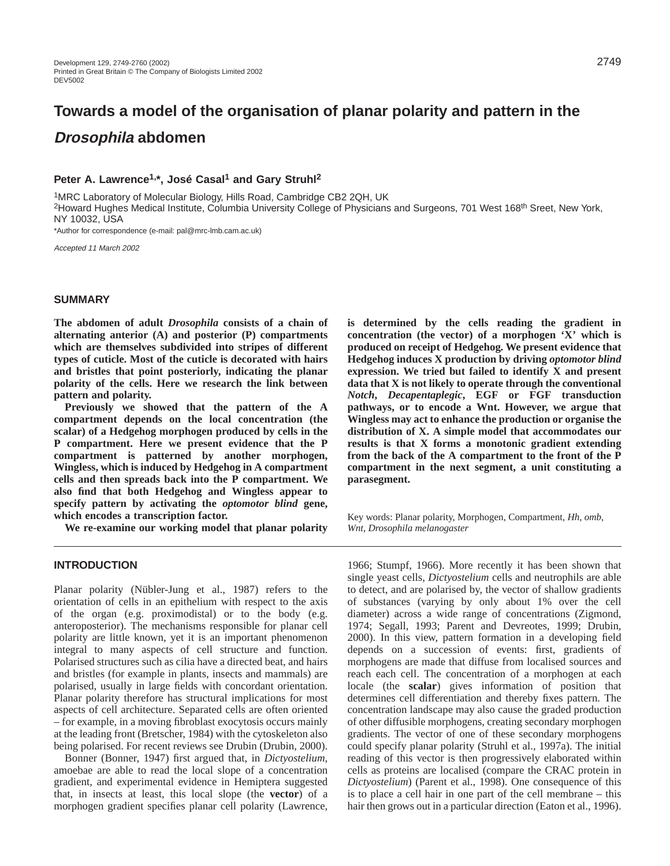# **Towards a model of the organisation of planar polarity and pattern in the Drosophila abdomen**

# Peter A. Lawrence<sup>1,\*</sup>, José Casal<sup>1</sup> and Gary Struhl<sup>2</sup>

1MRC Laboratory of Molecular Biology, Hills Road, Cambridge CB2 2QH, UK <sup>2</sup>Howard Hughes Medical Institute, Columbia University College of Physicians and Surgeons, 701 West 168<sup>th</sup> Sreet, New York, NY 10032, USA

\*Author for correspondence (e-mail: pal@mrc-lmb.cam.ac.uk)

Accepted 11 March 2002

# **SUMMARY**

**The abdomen of adult** *Drosophila* **consists of a chain of alternating anterior (A) and posterior (P) compartments which are themselves subdivided into stripes of different types of cuticle. Most of the cuticle is decorated with hairs and bristles that point posteriorly, indicating the planar polarity of the cells. Here we research the link between pattern and polarity.**

**Previously we showed that the pattern of the A compartment depends on the local concentration (the scalar) of a Hedgehog morphogen produced by cells in the P compartment. Here we present evidence that the P compartment is patterned by another morphogen, Wingless, which is induced by Hedgehog in A compartment cells and then spreads back into the P compartment. We also find that both Hedgehog and Wingless appear to specify pattern by activating the** *optomotor blind* **gene, which encodes a transcription factor.** 

**We re-examine our working model that planar polarity**

**is determined by the cells reading the gradient in concentration (the vector) of a morphogen 'X' which is produced on receipt of Hedgehog. We present evidence that Hedgehog induces X production by driving** *optomotor blind* **expression. We tried but failed to identify X and present data that X is not likely to operate through the conventional** *Notch***,** *Decapentaplegic***, EGF or FGF transduction pathways, or to encode a Wnt. However, we argue that Wingless may act to enhance the production or organise the distribution of X. A simple model that accommodates our results is that X forms a monotonic gradient extending from the back of the A compartment to the front of the P compartment in the next segment, a unit constituting a parasegment.**

Key words: Planar polarity, Morphogen, Compartment, *Hh, omb*, *Wnt*, *Drosophila melanogaster*

## **INTRODUCTION**

Planar polarity (Nübler-Jung et al., 1987) refers to the orientation of cells in an epithelium with respect to the axis of the organ (e.g. proximodistal) or to the body (e.g. anteroposterior). The mechanisms responsible for planar cell polarity are little known, yet it is an important phenomenon integral to many aspects of cell structure and function. Polarised structures such as cilia have a directed beat, and hairs and bristles (for example in plants, insects and mammals) are polarised, usually in large fields with concordant orientation. Planar polarity therefore has structural implications for most aspects of cell architecture. Separated cells are often oriented – for example, in a moving fibroblast exocytosis occurs mainly at the leading front (Bretscher, 1984) with the cytoskeleton also being polarised. For recent reviews see Drubin (Drubin, 2000).

Bonner (Bonner, 1947) first argued that, in *Dictyostelium*, amoebae are able to read the local slope of a concentration gradient, and experimental evidence in Hemiptera suggested that, in insects at least, this local slope (the **vector**) of a morphogen gradient specifies planar cell polarity (Lawrence,

1966; Stumpf, 1966). More recently it has been shown that single yeast cells, *Dictyostelium* cells and neutrophils are able to detect, and are polarised by, the vector of shallow gradients of substances (varying by only about 1% over the cell diameter) across a wide range of concentrations (Zigmond, 1974; Segall, 1993; Parent and Devreotes, 1999; Drubin, 2000). In this view, pattern formation in a developing field depends on a succession of events: first, gradients of morphogens are made that diffuse from localised sources and reach each cell. The concentration of a morphogen at each locale (the **scalar**) gives information of position that determines cell differentiation and thereby fixes pattern. The concentration landscape may also cause the graded production of other diffusible morphogens, creating secondary morphogen gradients. The vector of one of these secondary morphogens could specify planar polarity (Struhl et al., 1997a). The initial reading of this vector is then progressively elaborated within cells as proteins are localised (compare the CRAC protein in *Dictyostelium*) (Parent et al., 1998). One consequence of this is to place a cell hair in one part of the cell membrane – this hair then grows out in a particular direction (Eaton et al., 1996).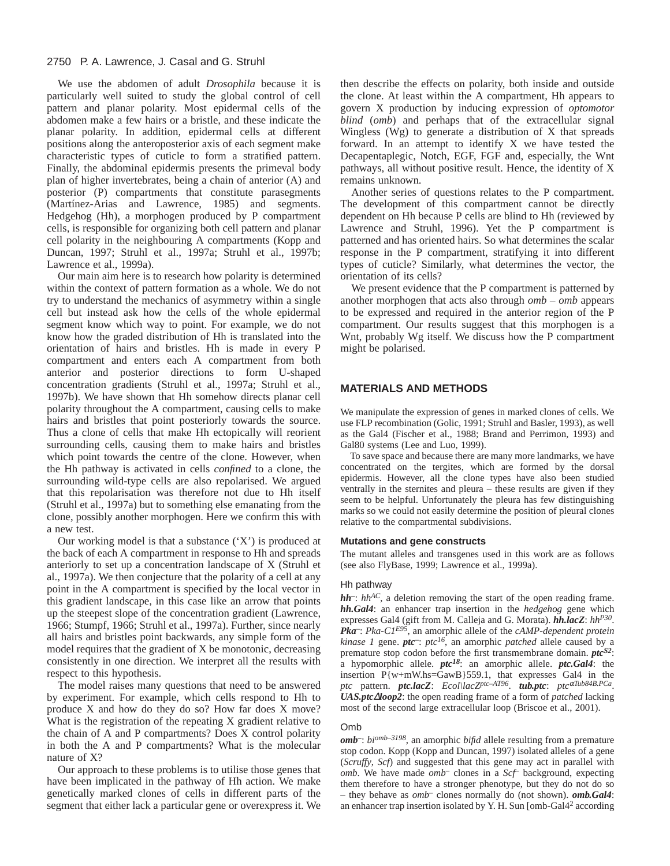## 2750 P. A. Lawrence, J. Casal and G. Struhl

We use the abdomen of adult *Drosophila* because it is particularly well suited to study the global control of cell pattern and planar polarity. Most epidermal cells of the abdomen make a few hairs or a bristle, and these indicate the planar polarity. In addition, epidermal cells at different positions along the anteroposterior axis of each segment make characteristic types of cuticle to form a stratified pattern. Finally, the abdominal epidermis presents the primeval body plan of higher invertebrates, being a chain of anterior (A) and posterior (P) compartments that constitute parasegments (Martínez-Arias and Lawrence, 1985) and segments. Hedgehog (Hh), a morphogen produced by P compartment cells, is responsible for organizing both cell pattern and planar cell polarity in the neighbouring A compartments (Kopp and Duncan, 1997; Struhl et al., 1997a; Struhl et al., 1997b; Lawrence et al., 1999a).

Our main aim here is to research how polarity is determined within the context of pattern formation as a whole. We do not try to understand the mechanics of asymmetry within a single cell but instead ask how the cells of the whole epidermal segment know which way to point. For example, we do not know how the graded distribution of Hh is translated into the orientation of hairs and bristles. Hh is made in every P compartment and enters each A compartment from both anterior and posterior directions to form U-shaped concentration gradients (Struhl et al., 1997a; Struhl et al., 1997b). We have shown that Hh somehow directs planar cell polarity throughout the A compartment, causing cells to make hairs and bristles that point posteriorly towards the source. Thus a clone of cells that make Hh ectopically will reorient surrounding cells, causing them to make hairs and bristles which point towards the centre of the clone. However, when the Hh pathway is activated in cells *confined* to a clone, the surrounding wild-type cells are also repolarised. We argued that this repolarisation was therefore not due to Hh itself (Struhl et al., 1997a) but to something else emanating from the clone, possibly another morphogen. Here we confirm this with a new test.

Our working model is that a substance ('X') is produced at the back of each A compartment in response to Hh and spreads anteriorly to set up a concentration landscape of X (Struhl et al., 1997a). We then conjecture that the polarity of a cell at any point in the A compartment is specified by the local vector in this gradient landscape, in this case like an arrow that points up the steepest slope of the concentration gradient (Lawrence, 1966; Stumpf, 1966; Struhl et al., 1997a). Further, since nearly all hairs and bristles point backwards, any simple form of the model requires that the gradient of X be monotonic, decreasing consistently in one direction. We interpret all the results with respect to this hypothesis.

The model raises many questions that need to be answered by experiment. For example, which cells respond to Hh to produce X and how do they do so? How far does X move? What is the registration of the repeating X gradient relative to the chain of A and P compartments? Does X control polarity in both the A and P compartments? What is the molecular nature of X?

Our approach to these problems is to utilise those genes that have been implicated in the pathway of Hh action. We make genetically marked clones of cells in different parts of the segment that either lack a particular gene or overexpress it. We

then describe the effects on polarity, both inside and outside the clone. At least within the A compartment, Hh appears to govern X production by inducing expression of *optomotor blind* (*omb*) and perhaps that of the extracellular signal Wingless (Wg) to generate a distribution of X that spreads forward. In an attempt to identify X we have tested the Decapentaplegic, Notch, EGF, FGF and, especially, the Wnt pathways, all without positive result. Hence, the identity of X remains unknown.

Another series of questions relates to the P compartment. The development of this compartment cannot be directly dependent on Hh because P cells are blind to Hh (reviewed by Lawrence and Struhl, 1996). Yet the P compartment is patterned and has oriented hairs. So what determines the scalar response in the P compartment, stratifying it into different types of cuticle? Similarly, what determines the vector, the orientation of its cells?

We present evidence that the P compartment is patterned by another morphogen that acts also through *omb* – *omb* appears to be expressed and required in the anterior region of the P compartment. Our results suggest that this morphogen is a Wnt, probably Wg itself. We discuss how the P compartment might be polarised.

## **MATERIALS AND METHODS**

We manipulate the expression of genes in marked clones of cells. We use FLP recombination (Golic, 1991; Struhl and Basler, 1993), as well as the Gal4 (Fischer et al., 1988; Brand and Perrimon, 1993) and Gal80 systems (Lee and Luo, 1999).

To save space and because there are many more landmarks, we have concentrated on the tergites, which are formed by the dorsal epidermis. However, all the clone types have also been studied ventrally in the sternites and pleura – these results are given if they seem to be helpful. Unfortunately the pleura has few distinguishing marks so we could not easily determine the position of pleural clones relative to the compartmental subdivisions.

#### **Mutations and gene constructs**

The mutant alleles and transgenes used in this work are as follows (see also FlyBase, 1999; Lawrence et al., 1999a).

#### Hh pathway

*:*  $*hh*<sup>AC</sup>$ *, a deletion removing the start of the open reading frame. hh.Gal4*: an enhancer trap insertion in the *hedgehog* gene which expresses Gal4 (gift from M. Calleja and G. Morata). *hh.lacZ*: *hhP30*. *Pka–*: *Pka-C1E95*, an amorphic allele of the *cAMP-dependent protein kinase 1* gene. *ptc–*: *ptc16*, an amorphic *patched* allele caused by a premature stop codon before the first transmembrane domain. *ptcS2*: a hypomorphic allele. *ptc18*: an amorphic allele. *ptc.Gal4*: the insertion P{w+mW.hs=GawB}559.1, that expresses Gal4 in the *ptc* pattern. *ptc.lacZ*: *Ecol\lacZptc–AT96*. *tub.ptc*: *ptc*α*Tub84B.PCa*. *UAS.ptc*∆*loop2*: the open reading frame of a form of *patched* lacking most of the second large extracellular loop (Briscoe et al., 2001).

#### Omb

*omb–*: *biomb–3198*, an amorphic *bifid* allele resulting from a premature stop codon. Kopp (Kopp and Duncan, 1997) isolated alleles of a gene (*Scruffy*, *Scf*) and suggested that this gene may act in parallel with *omb*. We have made *omb*– clones in a *Scf–* background, expecting them therefore to have a stronger phenotype, but they do not do so – they behave as *omb*– clones normally do (not shown). *omb.Gal4*: an enhancer trap insertion isolated by Y. H. Sun [omb-Gal4<sup>2</sup> according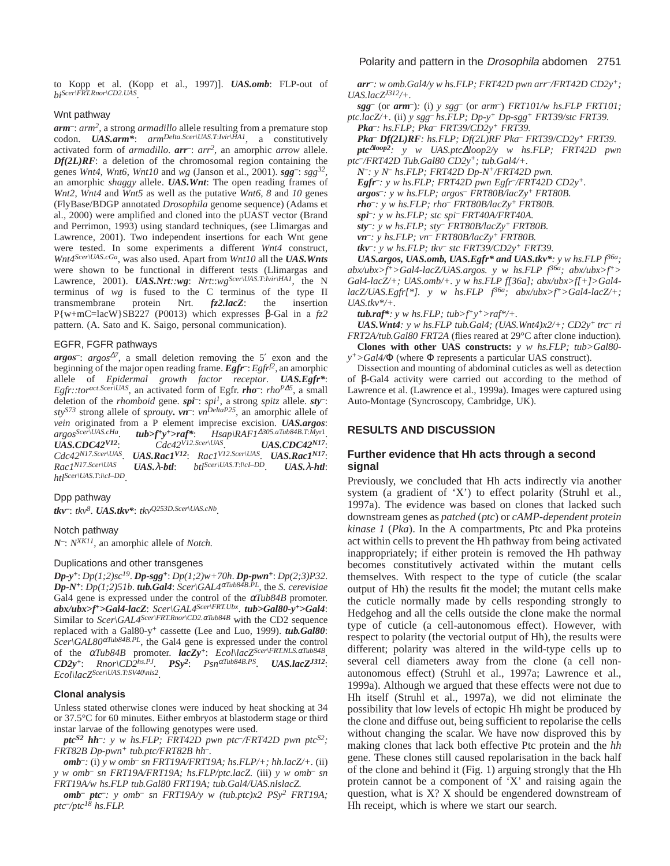to Kopp et al. (Kopp et al., 1997)]. *UAS.omb*: FLP-out of *biScer\FRT.Rnor\CD2.UAS*.

#### Wnt pathway

*arm–*: *arm2*, a strong *armadillo* allele resulting from a premature stop codon. *UAS.arm\**: *armDelta.Scer\UAS.T*:*Ivir\HA1*, a constitutively activated form of *armadillo*. *arr–*: *arr2*, an amorphic *arrow* allele. *Df(2L)RF*: a deletion of the chromosomal region containing the genes *Wnt4*, *Wnt6*, *Wnt10* and *wg* (Janson et al., 2001).  $sgg^{-1}sgg^{32}$ , an amorphic *shaggy* allele. *UAS.Wnt*: The open reading frames of *Wnt2*, *Wnt4* and *Wnt5* as well as the putative *Wnt6*, *8* and *10* genes (FlyBase/BDGP annotated *Drosophila* genome sequence) (Adams et al., 2000) were amplified and cloned into the pUAST vector (Brand and Perrimon, 1993) using standard techniques, (see Llimargas and Lawrence, 2001). Two independent insertions for each Wnt gene were tested. In some experiments a different *Wnt4* construct, *Wnt4Scer\UAS.cGa*, was also used. Apart from *Wnt10* all the *UAS.Wnts* were shown to be functional in different tests (Llimargas and Lawrence, 2001). *UAS.Nrt::wg*: *Nrt*::*wgScer\UAS.T*:*Ivir\HA1*, the N terminus of *wg* is fused to the C terminus of the type II transmembrane protein Nrt. *fz2.lacZ*: the insertion P{w+mC=lacW}SB227 (P0013) which expresses β-Gal in a *fz2* pattern. (A. Sato and K. Saigo, personal communication).

#### EGFR, FGFR pathways

*argos*<sup> $-$ </sup>: *argos*<sup> $\Delta$ </sup><sup>7</sup>, a small deletion removing the 5<sup>'</sup> exon and the beginning of the major open reading frame. *Egfr*<sup> $-$ </sup>: *Egfr*<sup> $/2$ </sup>, an amorphic allele of *Epidermal growth factor receptor*. *UAS.Egfr\**: *Egfr::toract.Scer\UAS*, an activated form of Egfr. *rho–*: *rhoP*∆*5*, a small deletion of the *rhomboid* gene.  $\text{spi}^-$ :  $\text{spi}^1$ , a strong  $\text{spi}$ *tz* allele.  $\text{sty}^-$ : *sty*<sup>S73</sup> strong allele of *sprouty***.**  $v_n$ –:  $v_n$ *DeltaP25*, an amorphic allele of *vein* originated from a P element imprecise excision. *UAS.argos*:<br>*argos<sup>Scer\UAS.cHa*, **tub>f<sup>+</sup>y<sup>+</sup>>raf<sup>\*</sup>:** *Hsap*\RAF1<sup>Δ305.aTub84B.T.Myr1.</sup></sup> *argosScer\UAS.cHa*. *tub>f+y+>raf\**: *Hsap\RAF1*<sup>∆</sup>*305.aTub84B.T*:*My*r1. *UAS.CDC42<sup>N17</sup>: Cdc42N17.Scer\UAS*. *UAS.Rac1V12*: *Rac1V12.Scer\UAS*. *UAS.Rac1N17*: *Rac1N17.Scer\UAS UAS.*λ*-btl*: *btlScer\UAS.T*:*l\cI–DD*. *UAS.*λ*-htl*: *htlScer\UAS.T*:*l\cI–DD*.

#### Dpp pathway

*tkv–*: *tkv8*. *UAS.tkv\**: *tkvQ253D.Scer\UAS.cNb.*

#### Notch pathway

*N–*: *NXK11*, an amorphic allele of *Notch.*

#### Duplications and other transgenes

*Dp-y+*: *Dp(1;2)sc19*. *Dp-sgg+*: *Dp(1;2)w+70h*. *Dp-pwn+*: *Dp(2;3)P32*. *Dp-N+*: *Dp(1;2)51b*. *tub.Gal4*: *Scer\GAL4*α*Tub84B.PL*, the *S. cerevisiae* Gal4 gene is expressed under the control of the α*Tub84B* promoter. *abx/ubx>f+>Gal4-lacZ*: *Scer\GAL4Scer\FRT.Ubx*. *tub>Gal80-y+>Gal4*: Similar to *Scer\GAL4Scer\FRT.Rnor\CD2.*α*Tub84B* with the CD2 sequence replaced with a Gal80-y+ cassette (Lee and Luo, 1999). *tub.Gal80*: *Scer\GAL80*α*Tub84B.PL*, the Gal4 gene is expressed under the control of the α*Tub84B* promoter. *lacZy+*: *Ecol\lacZScer\FRT.NLS.*α*Tub84B*.  $CD2y^+$ :  $Rnor \setminus CD2^{hs.PJ}$ .  $PSy^2$ :  $Psn \alpha^{\text{Tub84B.PS}}$ . *Ecol\lacZScer\UAS.T:SV40\nls2*.

#### **Clonal analysis**

Unless stated otherwise clones were induced by heat shocking at 34 or 37.5°C for 60 minutes. Either embryos at blastoderm stage or third instar larvae of the following genotypes were used.

*ptcS2 hh–: y w hs.FLP; FRT42D pwn ptc–/FRT42D pwn ptcS2; FRT82B Dp-pwn<sup>+</sup> tub.ptc/FRT82B hh–.*

*omb–:* (i) *y w omb– sn FRT19A/FRT19A; hs.FLP/+; hh.lacZ/+.* (ii) *y w omb– sn FRT19A/FRT19A; hs.FLP/ptc.lacZ.* (iii) *y w omb– sn FRT19A/w hs.FLP tub.Gal80 FRT19A; tub.Gal4/UAS.nlslacZ.*

*omb– ptc–: y omb– sn FRT19A/y w (tub.ptc)x2 PSy<sup>2</sup> FRT19A; ptc–/ptc18 hs.FLP.*

*arr–: w omb.Gal4/y w hs.FLP; FRT42D pwn arr–/FRT42D CD2y+; UAS.lacZJ312/+.*

*sgg–* (or *arm–*)*:* (i) *y sgg–* (or *arm–*) *FRT101/w hs.FLP FRT101; ptc.lacZ/+.* (ii) *y sgg– hs.FLP; Dp-y+ Dp-sgg<sup>+</sup> FRT39/stc FRT39.*

*Pka–: hs.FLP; Pka– FRT39/CD2y<sup>+</sup> FRT39.*

*Pka– Df(2L)RF: hs.FLP; Df(2L)RF Pka– FRT39/CD2y<sup>+</sup> FRT39. ptc*<sup>∆</sup>*loop2: y w UAS.ptc*∆*loop2/y w hs.FLP; FRT42D pwn ptc–/FRT42D Tub.Gal80 CD2y+; tub.Gal4/+.*

*N–: y N– hs.FLP; FRT42D Dp-N+/FRT42D pwn.*

*Egfr–: y w hs.FLP; FRT42D pwn Egfr–/FRT42D CD2y+.*

*argos–: y w hs.FLP; argos– FRT80B/lacZy+ FRT80B.*

*rho–: y w hs.FLP; rho– FRT80B/lacZy+ FRT80B.*

*spi–: y w hs.FLP; stc spi– FRT40A/FRT40A.*

*sty–: y w hs.FLP; sty– FRT80B/lacZy+ FRT80B. vn–: y hs.FLP; vn– FRT80B/lacZy+ FRT80B.*

*tkv–: y w hs.FLP; tkv– stc FRT39/CD2y<sup>+</sup> FRT39. UAS.argos, UAS.omb, UAS.Egfr\* and UAS.tkv\*: y w hs.FLP f36a;*

 $abx/ubx$ <sup>+</sup>>Gal4-lacZ/UAS.argos. y w hs.FLP  $f^{36a}$ ;  $abx/ubx$ >f<sup>+</sup>> *Gal4-lacZ/+; UAS.omb/+. y w hs.FLP f[36a]; abx/ubx>f[+]>Gal4 lacZ/UAS.Egfr[\*]. y w hs.FLP f36a; abx/ubx>f+>Gal4-lacZ/+; UAS.tkv\*/+.*

*tub.raf\*: y w hs.FLP; tub*> $f^+y^+$ *>raf\**/+.

*UAS.Wnt4: y w hs.FLP tub.Gal4; (UAS.Wnt4)x2/+; CD2y+ trc– ri FRT2A/tub.Gal80 FRT2A* (flies reared at 29°C after clone induction)*.* 

**Clones with other UAS constructs:** *y w hs.FLP; tub>Gal80 y+>Gal4/*Φ (where Φ represents a particular UAS construct).

Dissection and mounting of abdominal cuticles as well as detection of β-Gal4 activity were carried out according to the method of Lawrence et al. (Lawrence et al., 1999a). Images were captured using Auto-Montage (Syncroscopy, Cambridge, UK).

## **RESULTS AND DISCUSSION**

## **Further evidence that Hh acts through a second signal**

Previously, we concluded that Hh acts indirectly via another system (a gradient of 'X') to effect polarity (Struhl et al., 1997a). The evidence was based on clones that lacked such downstream genes as *patched* (*ptc*) or *cAMP-dependent protein kinase 1* (*Pka*). In the A compartments, Ptc and Pka proteins act within cells to prevent the Hh pathway from being activated inappropriately; if either protein is removed the Hh pathway becomes constitutively activated within the mutant cells themselves. With respect to the type of cuticle (the scalar output of Hh) the results fit the model; the mutant cells make the cuticle normally made by cells responding strongly to Hedgehog and all the cells outside the clone make the normal type of cuticle (a cell-autonomous effect). However, with respect to polarity (the vectorial output of Hh), the results were different; polarity was altered in the wild-type cells up to several cell diameters away from the clone (a cell nonautonomous effect) (Struhl et al., 1997a; Lawrence et al., 1999a). Although we argued that these effects were not due to Hh itself (Struhl et al., 1997a), we did not eliminate the possibility that low levels of ectopic Hh might be produced by the clone and diffuse out, being sufficient to repolarise the cells without changing the scalar. We have now disproved this by making clones that lack both effective Ptc protein and the *hh* gene. These clones still caused repolarisation in the back half of the clone and behind it (Fig. 1) arguing strongly that the Hh protein cannot be a component of 'X' and raising again the question, what is X? X should be engendered downstream of Hh receipt, which is where we start our search.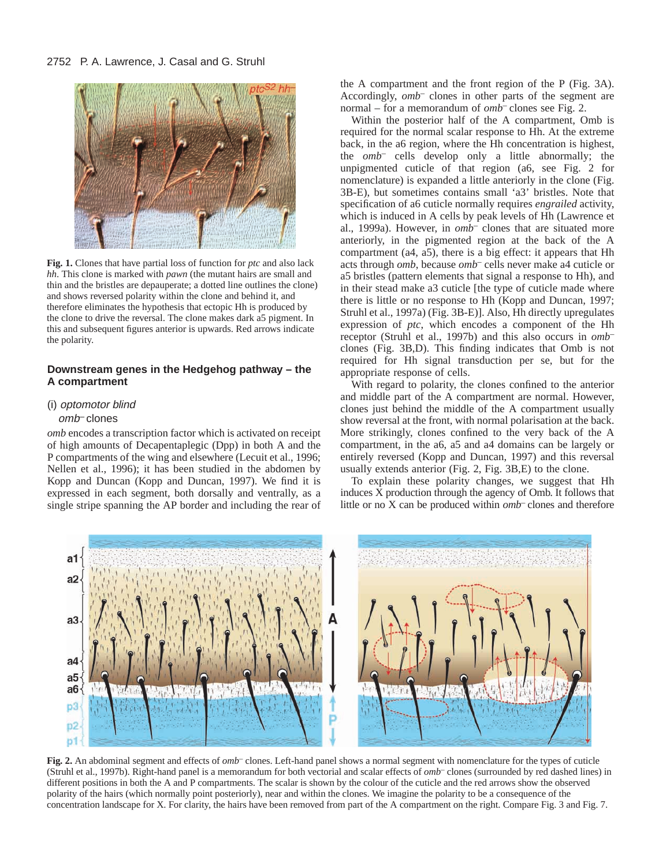

**Fig. 1.** Clones that have partial loss of function for *ptc* and also lack *hh*. This clone is marked with *pawn* (the mutant hairs are small and thin and the bristles are depauperate; a dotted line outlines the clone) and shows reversed polarity within the clone and behind it, and therefore eliminates the hypothesis that ectopic Hh is produced by the clone to drive the reversal. The clone makes dark a5 pigment. In this and subsequent figures anterior is upwards. Red arrows indicate the polarity.

# **Downstream genes in the Hedgehog pathway – the A compartment**

## (i) optomotor blind

#### omb– clones

*omb* encodes a transcription factor which is activated on receipt of high amounts of Decapentaplegic (Dpp) in both A and the P compartments of the wing and elsewhere (Lecuit et al., 1996; Nellen et al., 1996); it has been studied in the abdomen by Kopp and Duncan (Kopp and Duncan, 1997). We find it is expressed in each segment, both dorsally and ventrally, as a single stripe spanning the AP border and including the rear of

the A compartment and the front region of the P (Fig. 3A). Accordingly, *omb–* clones in other parts of the segment are normal – for a memorandum of *omb–* clones see Fig. 2.

Within the posterior half of the A compartment, Omb is required for the normal scalar response to Hh. At the extreme back, in the a6 region, where the Hh concentration is highest, the *omb–* cells develop only a little abnormally; the unpigmented cuticle of that region (a6, see Fig. 2 for nomenclature) is expanded a little anteriorly in the clone (Fig. 3B-E), but sometimes contains small 'a3' bristles. Note that specification of a6 cuticle normally requires *engrailed* activity, which is induced in A cells by peak levels of Hh (Lawrence et al., 1999a). However, in *omb–* clones that are situated more anteriorly, in the pigmented region at the back of the A compartment (a4, a5), there is a big effect: it appears that Hh acts through *omb*, because *omb–* cells never make a4 cuticle or a5 bristles (pattern elements that signal a response to Hh), and in their stead make a3 cuticle [the type of cuticle made where there is little or no response to Hh (Kopp and Duncan, 1997; Struhl et al., 1997a) (Fig. 3B-E)]. Also, Hh directly upregulates expression of *ptc*, which encodes a component of the Hh receptor (Struhl et al., 1997b) and this also occurs in *omb–* clones (Fig. 3B,D). This finding indicates that Omb is not required for Hh signal transduction per se, but for the appropriate response of cells.

With regard to polarity, the clones confined to the anterior and middle part of the A compartment are normal. However, clones just behind the middle of the A compartment usually show reversal at the front, with normal polarisation at the back. More strikingly, clones confined to the very back of the A compartment, in the a6, a5 and a4 domains can be largely or entirely reversed (Kopp and Duncan, 1997) and this reversal usually extends anterior (Fig. 2, Fig. 3B,E) to the clone.

To explain these polarity changes, we suggest that Hh induces X production through the agency of Omb. It follows that little or no X can be produced within *omb–* clones and therefore



**Fig. 2.** An abdominal segment and effects of *omb–* clones. Left-hand panel shows a normal segment with nomenclature for the types of cuticle (Struhl et al., 1997b). Right-hand panel is a memorandum for both vectorial and scalar effects of *omb–* clones (surrounded by red dashed lines) in different positions in both the A and P compartments. The scalar is shown by the colour of the cuticle and the red arrows show the observed polarity of the hairs (which normally point posteriorly), near and within the clones. We imagine the polarity to be a consequence of the concentration landscape for X. For clarity, the hairs have been removed from part of the A compartment on the right. Compare Fig. 3 and Fig. 7.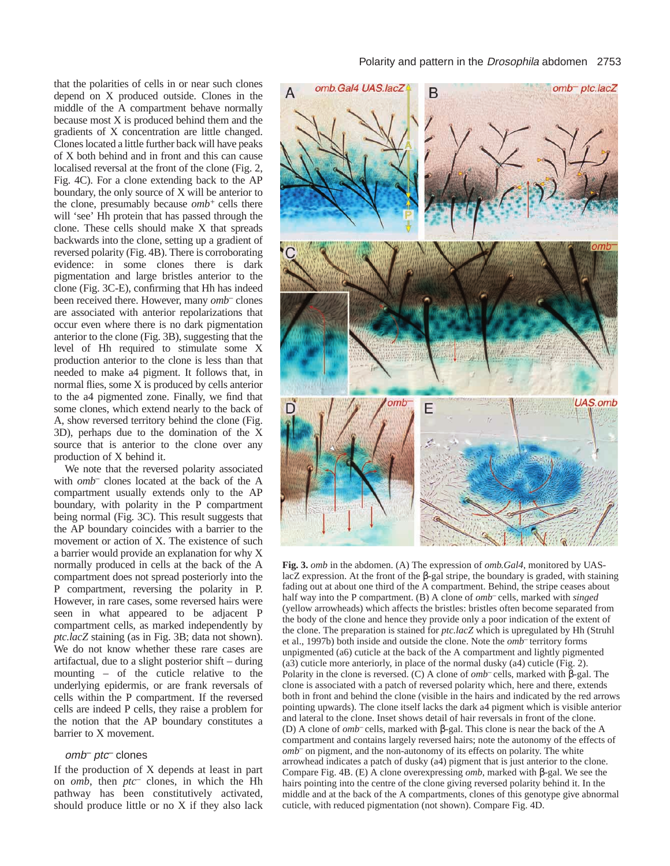#### Polarity and pattern in the *Drosophila* abdomen 2753



**Fig. 3.** *omb* in the abdomen. (A) The expression of *omb.Gal4*, monitored by UASlacZ expression. At the front of the β-gal stripe, the boundary is graded, with staining fading out at about one third of the A compartment. Behind, the stripe ceases about half way into the P compartment. (B) A clone of *omb–* cells, marked with *singed* (yellow arrowheads) which affects the bristles: bristles often become separated from the body of the clone and hence they provide only a poor indication of the extent of the clone. The preparation is stained for *ptc.lacZ* which is upregulated by Hh (Struhl et al., 1997b) both inside and outside the clone. Note the *omb–* territory forms unpigmented (a6) cuticle at the back of the A compartment and lightly pigmented (a3) cuticle more anteriorly, in place of the normal dusky (a4) cuticle (Fig. 2). Polarity in the clone is reversed. (C) A clone of *omb–* cells, marked with β-gal. The clone is associated with a patch of reversed polarity which, here and there, extends both in front and behind the clone (visible in the hairs and indicated by the red arrows pointing upwards). The clone itself lacks the dark a4 pigment which is visible anterior and lateral to the clone. Inset shows detail of hair reversals in front of the clone. (D) A clone of *omb–* cells, marked with β-gal. This clone is near the back of the A compartment and contains largely reversed hairs; note the autonomy of the effects of *omb–* on pigment, and the non-autonomy of its effects on polarity. The white arrowhead indicates a patch of dusky (a4) pigment that is just anterior to the clone. Compare Fig. 4B. (E) A clone overexpressing *omb*, marked with β-gal. We see the hairs pointing into the centre of the clone giving reversed polarity behind it. In the middle and at the back of the A compartments, clones of this genotype give abnormal cuticle, with reduced pigmentation (not shown). Compare Fig. 4D.

that the polarities of cells in or near such clones depend on X produced outside. Clones in the middle of the A compartment behave normally because most X is produced behind them and the gradients of X concentration are little changed. Clones located a little further back will have peaks of X both behind and in front and this can cause localised reversal at the front of the clone (Fig. 2, Fig. 4C). For a clone extending back to the AP boundary, the only source of X will be anterior to the clone, presumably because *omb+* cells there will 'see' Hh protein that has passed through the clone. These cells should make X that spreads backwards into the clone, setting up a gradient of reversed polarity (Fig. 4B). There is corroborating evidence: in some clones there is dark pigmentation and large bristles anterior to the clone (Fig. 3C-E), confirming that Hh has indeed been received there. However, many *omb–* clones are associated with anterior repolarizations that occur even where there is no dark pigmentation anterior to the clone (Fig. 3B), suggesting that the level of Hh required to stimulate some X production anterior to the clone is less than that needed to make a4 pigment. It follows that, in normal flies, some X is produced by cells anterior to the a4 pigmented zone. Finally, we find that some clones, which extend nearly to the back of A, show reversed territory behind the clone (Fig. 3D), perhaps due to the domination of the X source that is anterior to the clone over any production of X behind it.

We note that the reversed polarity associated with *omb–* clones located at the back of the A compartment usually extends only to the AP boundary, with polarity in the P compartment being normal (Fig. 3C). This result suggests that the AP boundary coincides with a barrier to the movement or action of X. The existence of such a barrier would provide an explanation for why X normally produced in cells at the back of the A compartment does not spread posteriorly into the P compartment, reversing the polarity in P. However, in rare cases, some reversed hairs were seen in what appeared to be adjacent P compartment cells, as marked independently by *ptc.lacZ* staining (as in Fig. 3B; data not shown). We do not know whether these rare cases are artifactual, due to a slight posterior shift – during mounting – of the cuticle relative to the underlying epidermis, or are frank reversals of cells within the P compartment. If the reversed cells are indeed P cells, they raise a problem for the notion that the AP boundary constitutes a barrier to X movement.

## omb– ptc– clones

If the production of X depends at least in part on *omb*, then *ptc–* clones, in which the Hh pathway has been constitutively activated, should produce little or no X if they also lack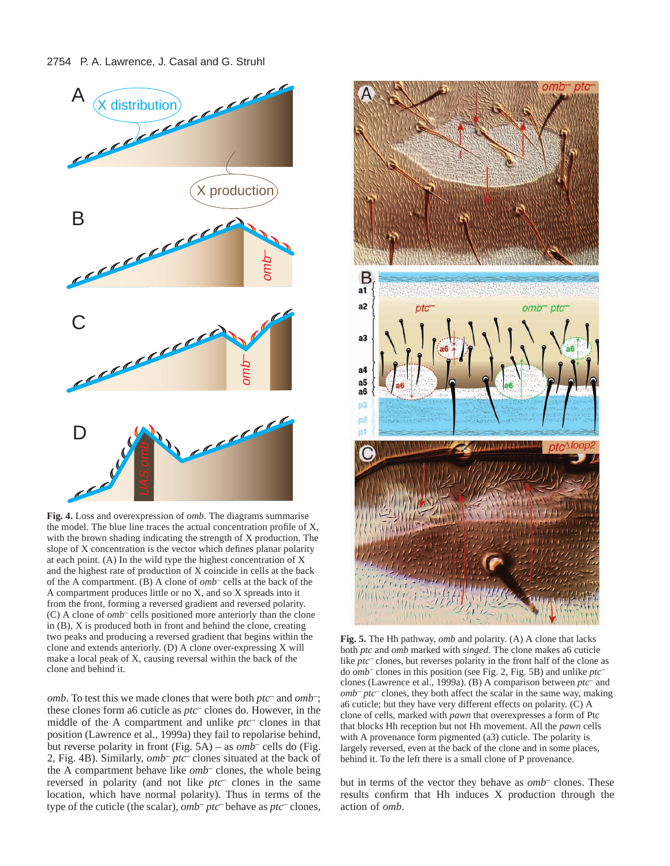

**Fig. 4.** Loss and overexpression of *omb*. The diagrams summarise the model. The blue line traces the actual concentration profile of X, with the brown shading indicating the strength of X production. The slope of X concentration is the vector which defines planar polarity at each point. (A) In the wild type the highest concentration of X and the highest rate of production of X coincide in cells at the back of the A compartment. (B) A clone of *omb–* cells at the back of the A compartment produces little or no X, and so X spreads into it from the front, forming a reversed gradient and reversed polarity. (C) A clone of *omb–* cells positioned more anteriorly than the clone in (B), X is produced both in front and behind the clone, creating two peaks and producing a reversed gradient that begins within the clone and extends anteriorly. (D) A clone over-expressing X will make a local peak of X, causing reversal within the back of the clone and behind it.

*omb*. To test this we made clones that were both *ptc–* and *omb–*; these clones form a6 cuticle as *ptc–* clones do. However, in the middle of the A compartment and unlike *ptc–* clones in that position (Lawrence et al., 1999a) they fail to repolarise behind, but reverse polarity in front (Fig. 5A) – as *omb–* cells do (Fig. 2, Fig. 4B). Similarly, *omb– ptc–* clones situated at the back of the A compartment behave like *omb–* clones, the whole being reversed in polarity (and not like *ptc–* clones in the same location, which have normal polarity). Thus in terms of the type of the cuticle (the scalar), *omb– ptc–* behave as *ptc–* clones,



**Fig. 5.** The Hh pathway, *omb* and polarity. (A) A clone that lacks both *ptc* and *omb* marked with *singed*. The clone makes a6 cuticle like *ptc*<sup>–</sup> clones, but reverses polarity in the front half of the clone as do *omb–* clones in this position (see Fig. 2, Fig. 5B) and unlike *ptc–* clones (Lawrence et al., 1999a). (B) A comparison between *ptc–* and *omb– ptc–* clones, they both affect the scalar in the same way, making a6 cuticle; but they have very different effects on polarity. (C) A clone of cells, marked with *pawn* that overexpresses a form of Ptc that blocks Hh reception but not Hh movement. All the *pawn* cells with A provenance form pigmented (a3) cuticle. The polarity is largely reversed, even at the back of the clone and in some places, behind it. To the left there is a small clone of P provenance.

but in terms of the vector they behave as *omb–* clones. These results confirm that Hh induces X production through the action of *omb*.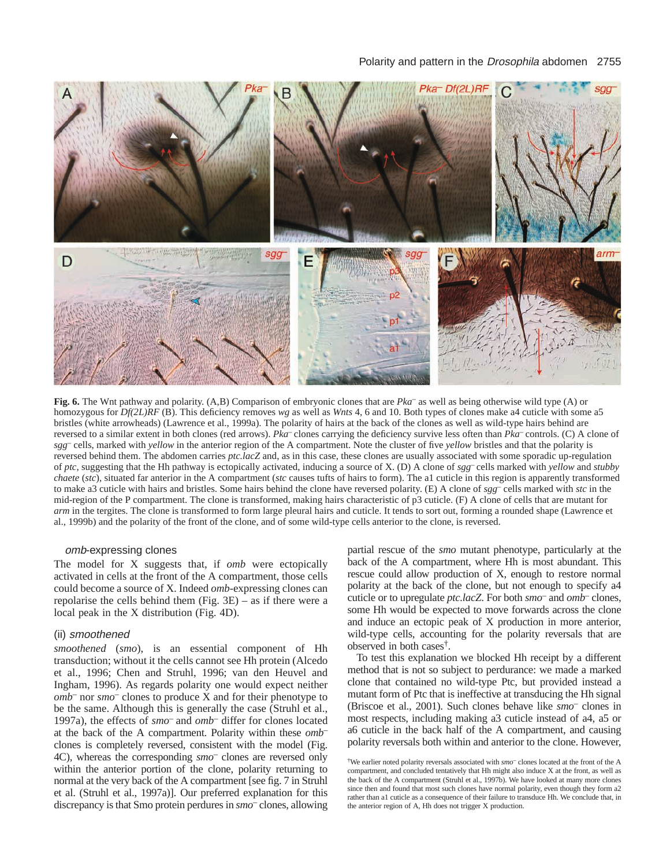

**Fig. 6.** The Wnt pathway and polarity. (A,B) Comparison of embryonic clones that are *Pka–* as well as being otherwise wild type (A) or homozygous for *Df(2L)RF* (B). This deficiency removes *wg* as well as *Wnts* 4, 6 and 10. Both types of clones make a4 cuticle with some a5 bristles (white arrowheads) (Lawrence et al., 1999a). The polarity of hairs at the back of the clones as well as wild-type hairs behind are reversed to a similar extent in both clones (red arrows). *Pka–* clones carrying the deficiency survive less often than *Pka–* controls. (C) A clone of *sgg–* cells, marked with *yellow* in the anterior region of the A compartment. Note the cluster of five *yellow* bristles and that the polarity is reversed behind them. The abdomen carries *ptc.lacZ* and, as in this case, these clones are usually associated with some sporadic up-regulation of *ptc*, suggesting that the Hh pathway is ectopically activated, inducing a source of X. (D) A clone of *sgg–* cells marked with *yellow* and *stubby chaete* (*stc*), situated far anterior in the A compartment (*stc* causes tufts of hairs to form). The a1 cuticle in this region is apparently transformed to make a3 cuticle with hairs and bristles. Some hairs behind the clone have reversed polarity. (E) A clone of *sgg–* cells marked with *stc* in the mid-region of the P compartment. The clone is transformed, making hairs characteristic of p3 cuticle. (F) A clone of cells that are mutant for *arm* in the tergites. The clone is transformed to form large pleural hairs and cuticle. It tends to sort out, forming a rounded shape (Lawrence et al., 1999b) and the polarity of the front of the clone, and of some wild-type cells anterior to the clone, is reversed.

#### omb-expressing clones

The model for X suggests that, if *omb* were ectopically activated in cells at the front of the A compartment, those cells could become a source of X. Indeed *omb*-expressing clones can repolarise the cells behind them (Fig. 3E) – as if there were a local peak in the X distribution (Fig. 4D).

## (ii) smoothened

*smoothened* (*smo*), is an essential component of Hh transduction; without it the cells cannot see Hh protein (Alcedo et al., 1996; Chen and Struhl, 1996; van den Heuvel and Ingham, 1996). As regards polarity one would expect neither *omb–* nor *smo–* clones to produce X and for their phenotype to be the same. Although this is generally the case (Struhl et al., 1997a), the effects of *smo–* and *omb–* differ for clones located at the back of the A compartment. Polarity within these *omb–* clones is completely reversed, consistent with the model (Fig. 4C), whereas the corresponding *smo–* clones are reversed only within the anterior portion of the clone, polarity returning to normal at the very back of the A compartment [see fig. 7 in Struhl et al. (Struhl et al., 1997a)]. Our preferred explanation for this discrepancy is that Smo protein perdures in *smo–* clones, allowing

partial rescue of the *smo* mutant phenotype, particularly at the back of the A compartment, where Hh is most abundant. This rescue could allow production of X, enough to restore normal polarity at the back of the clone, but not enough to specify a4 cuticle or to upregulate *ptc.lacZ*. For both *smo–* and *omb–* clones, some Hh would be expected to move forwards across the clone and induce an ectopic peak of X production in more anterior, wild-type cells, accounting for the polarity reversals that are observed in both cases†.

To test this explanation we blocked Hh receipt by a different method that is not so subject to perdurance: we made a marked clone that contained no wild-type Ptc, but provided instead a mutant form of Ptc that is ineffective at transducing the Hh signal (Briscoe et al., 2001). Such clones behave like *smo–* clones in most respects, including making a3 cuticle instead of a4, a5 or a6 cuticle in the back half of the A compartment, and causing polarity reversals both within and anterior to the clone. However,

<sup>†</sup>We earlier noted polarity reversals associated with *smo*– clones located at the front of the A compartment, and concluded tentatively that Hh might also induce X at the front, as well as the back of the A compartment (Struhl et al., 1997b). We have looked at many more clones since then and found that most such clones have normal polarity, even though they form a2 rather than a1 cuticle as a consequence of their failure to transduce Hh. We conclude that, in the anterior region of A, Hh does not trigger X production.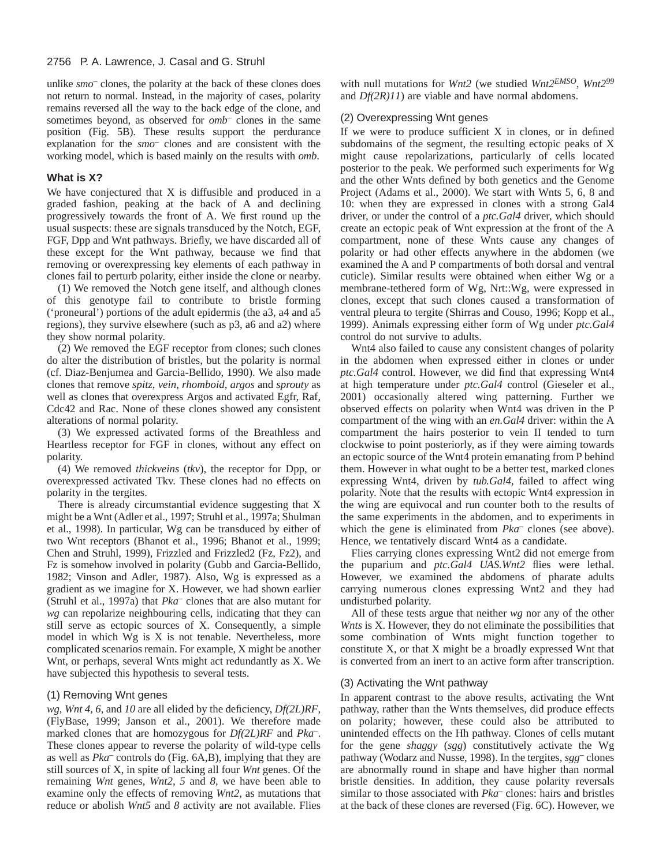## 2756 P. A. Lawrence, J. Casal and G. Struhl

unlike *smo–* clones, the polarity at the back of these clones does not return to normal. Instead, in the majority of cases, polarity remains reversed all the way to the back edge of the clone, and sometimes beyond, as observed for *omb–* clones in the same position (Fig. 5B). These results support the perdurance explanation for the *smo–* clones and are consistent with the working model, which is based mainly on the results with *omb*.

#### **What is X?**

We have conjectured that X is diffusible and produced in a graded fashion, peaking at the back of A and declining progressively towards the front of A. We first round up the usual suspects: these are signals transduced by the Notch, EGF, FGF, Dpp and Wnt pathways. Briefly, we have discarded all of these except for the Wnt pathway, because we find that removing or overexpressing key elements of each pathway in clones fail to perturb polarity, either inside the clone or nearby.

(1) We removed the Notch gene itself, and although clones of this genotype fail to contribute to bristle forming ('proneural') portions of the adult epidermis (the a3, a4 and a5 regions), they survive elsewhere (such as p3, a6 and a2) where they show normal polarity.

(2) We removed the EGF receptor from clones; such clones do alter the distribution of bristles, but the polarity is normal (cf. Diaz-Benjumea and Garcia-Bellido, 1990). We also made clones that remove *spitz*, *vein*, *rhomboid*, *argos* and *sprouty* as well as clones that overexpress Argos and activated Egfr, Raf, Cdc42 and Rac. None of these clones showed any consistent alterations of normal polarity.

(3) We expressed activated forms of the Breathless and Heartless receptor for FGF in clones, without any effect on polarity.

(4) We removed *thickveins* (*tkv*), the receptor for Dpp, or overexpressed activated Tkv. These clones had no effects on polarity in the tergites.

There is already circumstantial evidence suggesting that X might be a Wnt (Adler et al., 1997; Struhl et al., 1997a; Shulman et al., 1998). In particular, Wg can be transduced by either of two Wnt receptors (Bhanot et al., 1996; Bhanot et al., 1999; Chen and Struhl, 1999), Frizzled and Frizzled2 (Fz, Fz2), and Fz is somehow involved in polarity (Gubb and Garcia-Bellido, 1982; Vinson and Adler, 1987). Also, Wg is expressed as a gradient as we imagine for X. However, we had shown earlier (Struhl et al., 1997a) that *Pka–* clones that are also mutant for *wg* can repolarize neighbouring cells, indicating that they can still serve as ectopic sources of X. Consequently, a simple model in which Wg is X is not tenable. Nevertheless, more complicated scenarios remain. For example, X might be another Wnt, or perhaps, several Wnts might act redundantly as X. We have subjected this hypothesis to several tests.

#### (1) Removing Wnt genes

*wg, Wnt 4, 6*, and *10* are all elided by the deficiency, *Df(2L)RF*, (FlyBase, 1999; Janson et al., 2001). We therefore made marked clones that are homozygous for *Df(2L)RF* and *Pka–*. These clones appear to reverse the polarity of wild-type cells as well as *Pka–* controls do (Fig. 6A,B), implying that they are still sources of X, in spite of lacking all four *Wnt* genes. Of the remaining *Wnt* genes, *Wnt2*, *5* and *8*, we have been able to examine only the effects of removing *Wnt2*, as mutations that reduce or abolish *Wnt5* and *8* activity are not available. Flies

with null mutations for *Wnt2* (we studied *Wnt2EMSO*, *Wnt2<sup>99</sup>* and *Df(2R)11*) are viable and have normal abdomens.

## (2) Overexpressing Wnt genes

If we were to produce sufficient X in clones, or in defined subdomains of the segment, the resulting ectopic peaks of X might cause repolarizations, particularly of cells located posterior to the peak. We performed such experiments for Wg and the other Wnts defined by both genetics and the Genome Project (Adams et al., 2000). We start with Wnts 5, 6, 8 and 10: when they are expressed in clones with a strong Gal4 driver, or under the control of a *ptc.Gal4* driver, which should create an ectopic peak of Wnt expression at the front of the A compartment, none of these Wnts cause any changes of polarity or had other effects anywhere in the abdomen (we examined the A and P compartments of both dorsal and ventral cuticle). Similar results were obtained when either Wg or a membrane-tethered form of Wg, Nrt::Wg, were expressed in clones, except that such clones caused a transformation of ventral pleura to tergite (Shirras and Couso, 1996; Kopp et al., 1999). Animals expressing either form of Wg under *ptc.Gal4* control do not survive to adults.

Wnt4 also failed to cause any consistent changes of polarity in the abdomen when expressed either in clones or under *ptc.Gal4* control. However, we did find that expressing Wnt4 at high temperature under *ptc.Gal4* control (Gieseler et al., 2001) occasionally altered wing patterning. Further we observed effects on polarity when Wnt4 was driven in the P compartment of the wing with an *en.Gal4* driver: within the A compartment the hairs posterior to vein II tended to turn clockwise to point posteriorly, as if they were aiming towards an ectopic source of the Wnt4 protein emanating from P behind them. However in what ought to be a better test, marked clones expressing Wnt4, driven by *tub.Gal4*, failed to affect wing polarity. Note that the results with ectopic Wnt4 expression in the wing are equivocal and run counter both to the results of the same experiments in the abdomen, and to experiments in which the gene is eliminated from *Pka*<sup> $-$ </sup> clones (see above). Hence, we tentatively discard Wnt4 as a candidate.

Flies carrying clones expressing Wnt2 did not emerge from the puparium and *ptc.Gal4 UAS.Wnt2* flies were lethal. However, we examined the abdomens of pharate adults carrying numerous clones expressing Wnt2 and they had undisturbed polarity.

All of these tests argue that neither *wg* nor any of the other *Wnts* is X. However, they do not eliminate the possibilities that some combination of Wnts might function together to constitute X, or that X might be a broadly expressed Wnt that is converted from an inert to an active form after transcription.

#### (3) Activating the Wnt pathway

In apparent contrast to the above results, activating the Wnt pathway, rather than the Wnts themselves, did produce effects on polarity; however, these could also be attributed to unintended effects on the Hh pathway. Clones of cells mutant for the gene *shaggy* (*sgg*) constitutively activate the Wg pathway (Wodarz and Nusse, 1998). In the tergites, *sgg–* clones are abnormally round in shape and have higher than normal bristle densities. In addition, they cause polarity reversals similar to those associated with *Pka–* clones: hairs and bristles at the back of these clones are reversed (Fig. 6C). However, we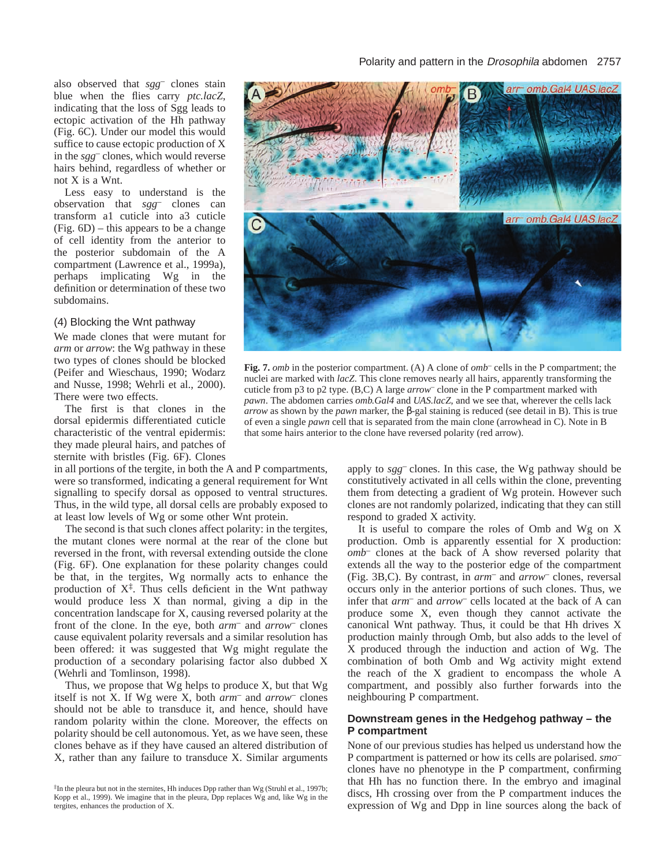also observed that *sgg*– clones stain blue when the flies carry *ptc.lacZ*, indicating that the loss of Sgg leads to ectopic activation of the Hh pathway (Fig. 6C). Under our model this would suffice to cause ectopic production of X in the *sgg–* clones, which would reverse hairs behind, regardless of whether or not X is a Wnt.

Less easy to understand is the observation that *sgg–* clones can transform a1 cuticle into a3 cuticle (Fig. 6D) – this appears to be a change of cell identity from the anterior to the posterior subdomain of the A compartment (Lawrence et al., 1999a), perhaps implicating Wg in the definition or determination of these two subdomains.

## (4) Blocking the Wnt pathway

We made clones that were mutant for *arm* or *arrow*: the Wg pathway in these two types of clones should be blocked (Peifer and Wieschaus, 1990; Wodarz and Nusse, 1998; Wehrli et al., 2000). There were two effects.

The first is that clones in the dorsal epidermis differentiated cuticle characteristic of the ventral epidermis: they made pleural hairs, and patches of sternite with bristles (Fig. 6F). Clones

in all portions of the tergite, in both the A and P compartments, were so transformed, indicating a general requirement for Wnt signalling to specify dorsal as opposed to ventral structures. Thus, in the wild type, all dorsal cells are probably exposed to at least low levels of Wg or some other Wnt protein.

The second is that such clones affect polarity: in the tergites, the mutant clones were normal at the rear of the clone but reversed in the front, with reversal extending outside the clone (Fig. 6F). One explanation for these polarity changes could be that, in the tergites, Wg normally acts to enhance the production of  $X^{\ddagger}$ . Thus cells deficient in the Wnt pathway would produce less X than normal, giving a dip in the concentration landscape for X, causing reversed polarity at the front of the clone. In the eye, both *arm–* and *arrow–* clones cause equivalent polarity reversals and a similar resolution has been offered: it was suggested that Wg might regulate the production of a secondary polarising factor also dubbed X (Wehrli and Tomlinson, 1998).

Thus, we propose that Wg helps to produce X, but that Wg itself is not X. If Wg were X, both *arm–* and *arrow–* clones should not be able to transduce it, and hence, should have random polarity within the clone. Moreover, the effects on polarity should be cell autonomous. Yet, as we have seen, these clones behave as if they have caused an altered distribution of X, rather than any failure to transduce X. Similar arguments

‡In the pleura but not in the sternites, Hh induces Dpp rather than Wg (Struhl et al., 1997b; Kopp et al., 1999). We imagine that in the pleura, Dpp replaces Wg and, like Wg in the tergites, enhances the production of X.



**Fig. 7.** *omb* in the posterior compartment. (A) A clone of *omb–* cells in the P compartment; the nuclei are marked with *lacZ*. This clone removes nearly all hairs, apparently transforming the cuticle from p3 to p2 type. (B,C) A large *arrow–* clone in the P compartment marked with *pawn*. The abdomen carries *omb.Gal4* and *UAS.lacZ*, and we see that, wherever the cells lack *arrow* as shown by the *pawn* marker, the β-gal staining is reduced (see detail in B). This is true of even a single *pawn* cell that is separated from the main clone (arrowhead in C). Note in B that some hairs anterior to the clone have reversed polarity (red arrow).

apply to *sgg–* clones. In this case, the Wg pathway should be constitutively activated in all cells within the clone, preventing them from detecting a gradient of Wg protein. However such clones are not randomly polarized, indicating that they can still respond to graded X activity.

It is useful to compare the roles of Omb and Wg on X production. Omb is apparently essential for X production: *omb–* clones at the back of A show reversed polarity that extends all the way to the posterior edge of the compartment (Fig. 3B,C). By contrast, in *arm–* and *arrow–* clones, reversal occurs only in the anterior portions of such clones. Thus, we infer that *arm–* and *arrow–* cells located at the back of A can produce some X, even though they cannot activate the canonical Wnt pathway. Thus, it could be that Hh drives X production mainly through Omb, but also adds to the level of X produced through the induction and action of Wg. The combination of both Omb and Wg activity might extend the reach of the X gradient to encompass the whole A compartment, and possibly also further forwards into the neighbouring P compartment.

# **Downstream genes in the Hedgehog pathway – the P compartment**

None of our previous studies has helped us understand how the P compartment is patterned or how its cells are polarised. *smo–* clones have no phenotype in the P compartment, confirming that Hh has no function there. In the embryo and imaginal discs, Hh crossing over from the P compartment induces the expression of Wg and Dpp in line sources along the back of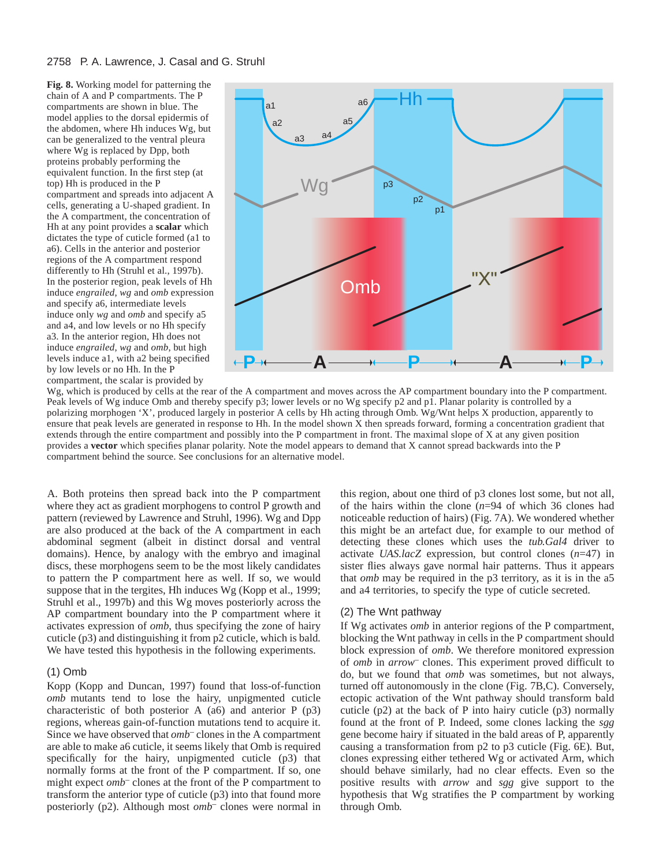#### 2758 P. A. Lawrence, J. Casal and G. Struhl

**Fig. 8.** Working model for patterning the chain of A and P compartments. The P compartments are shown in blue. The model applies to the dorsal epidermis of the abdomen, where Hh induces Wg, but can be generalized to the ventral pleura where Wg is replaced by Dpp, both proteins probably performing the equivalent function. In the first step (at top) Hh is produced in the P compartment and spreads into adjacent A cells, generating a U-shaped gradient. In the A compartment, the concentration of Hh at any point provides a **scalar** which dictates the type of cuticle formed (a1 to a6). Cells in the anterior and posterior regions of the A compartment respond differently to Hh (Struhl et al., 1997b). In the posterior region, peak levels of Hh induce *engrailed*, *wg* and *omb* expression and specify a6, intermediate levels induce only *wg* and *omb* and specify a5 and a4, and low levels or no Hh specify a3. In the anterior region, Hh does not induce *engrailed*, *wg* and *omb*, but high levels induce a1, with a2 being specified by low levels or no Hh. In the P compartment, the scalar is provided by



Wg, which is produced by cells at the rear of the A compartment and moves across the AP compartment boundary into the P compartment. Peak levels of Wg induce Omb and thereby specify p3; lower levels or no Wg specify p2 and p1. Planar polarity is controlled by a polarizing morphogen 'X', produced largely in posterior A cells by Hh acting through Omb. Wg/Wnt helps X production, apparently to ensure that peak levels are generated in response to Hh. In the model shown X then spreads forward, forming a concentration gradient that extends through the entire compartment and possibly into the P compartment in front. The maximal slope of X at any given position provides a **vector** which specifies planar polarity. Note the model appears to demand that X cannot spread backwards into the P compartment behind the source. See conclusions for an alternative model.

A. Both proteins then spread back into the P compartment where they act as gradient morphogens to control P growth and pattern (reviewed by Lawrence and Struhl, 1996). Wg and Dpp are also produced at the back of the A compartment in each abdominal segment (albeit in distinct dorsal and ventral domains). Hence, by analogy with the embryo and imaginal discs, these morphogens seem to be the most likely candidates to pattern the P compartment here as well. If so, we would suppose that in the tergites, Hh induces Wg (Kopp et al., 1999; Struhl et al., 1997b) and this Wg moves posteriorly across the AP compartment boundary into the P compartment where it activates expression of *omb*, thus specifying the zone of hairy cuticle (p3) and distinguishing it from p2 cuticle, which is bald*.* We have tested this hypothesis in the following experiments.

## (1) Omb

Kopp (Kopp and Duncan, 1997) found that loss-of-function *omb* mutants tend to lose the hairy, unpigmented cuticle characteristic of both posterior A  $(a6)$  and anterior P  $(p3)$ regions, whereas gain-of-function mutations tend to acquire it. Since we have observed that *omb–* clones in the A compartment are able to make a6 cuticle, it seems likely that Omb is required specifically for the hairy, unpigmented cuticle (p3) that normally forms at the front of the P compartment. If so, one might expect *omb*– clones at the front of the P compartment to transform the anterior type of cuticle (p3) into that found more posteriorly (p2). Although most *omb*– clones were normal in

this region, about one third of p3 clones lost some, but not all, of the hairs within the clone (*n*=94 of which 36 clones had noticeable reduction of hairs) (Fig. 7A). We wondered whether this might be an artefact due, for example to our method of detecting these clones which uses the *tub.Gal4* driver to activate *UAS.lacZ* expression, but control clones (*n*=47) in sister flies always gave normal hair patterns. Thus it appears that *omb* may be required in the p3 territory, as it is in the a5 and a4 territories, to specify the type of cuticle secreted.

# (2) The Wnt pathway

If Wg activates *omb* in anterior regions of the P compartment, blocking the Wnt pathway in cells in the P compartment should block expression of *omb*. We therefore monitored expression of *omb* in *arrow–* clones. This experiment proved difficult to do, but we found that *omb* was sometimes, but not always, turned off autonomously in the clone (Fig. 7B,C). Conversely, ectopic activation of the Wnt pathway should transform bald cuticle (p2) at the back of P into hairy cuticle (p3) normally found at the front of P. Indeed, some clones lacking the *sgg* gene become hairy if situated in the bald areas of P, apparently causing a transformation from p2 to p3 cuticle (Fig. 6E)*.* But, clones expressing either tethered Wg or activated Arm, which should behave similarly, had no clear effects. Even so the positive results with *arrow* and *sgg* give support to the hypothesis that Wg stratifies the P compartment by working through Omb.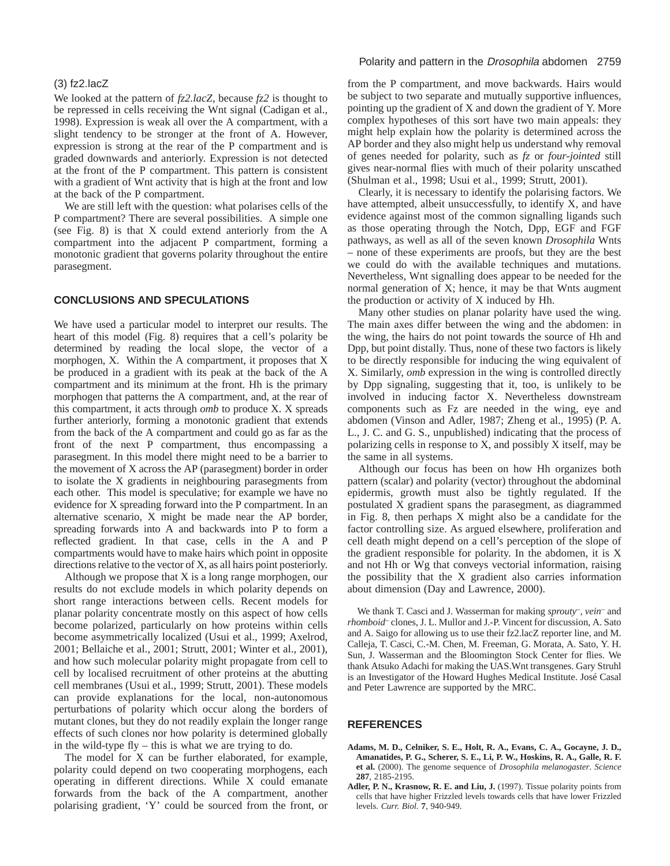# (3) fz2.lacZ

We looked at the pattern of *fz2.lacZ*, because *fz2* is thought to be repressed in cells receiving the Wnt signal (Cadigan et al., 1998). Expression is weak all over the A compartment, with a slight tendency to be stronger at the front of A. However, expression is strong at the rear of the P compartment and is graded downwards and anteriorly. Expression is not detected at the front of the P compartment. This pattern is consistent with a gradient of Wnt activity that is high at the front and low at the back of the P compartment.

We are still left with the question: what polarises cells of the P compartment? There are several possibilities. A simple one (see Fig. 8) is that X could extend anteriorly from the A compartment into the adjacent P compartment, forming a monotonic gradient that governs polarity throughout the entire parasegment.

# **CONCLUSIONS AND SPECULATIONS**

We have used a particular model to interpret our results. The heart of this model (Fig. 8) requires that a cell's polarity be determined by reading the local slope, the vector of a morphogen, X. Within the A compartment, it proposes that X be produced in a gradient with its peak at the back of the A compartment and its minimum at the front. Hh is the primary morphogen that patterns the A compartment, and, at the rear of this compartment, it acts through *omb* to produce X. X spreads further anteriorly, forming a monotonic gradient that extends from the back of the A compartment and could go as far as the front of the next P compartment, thus encompassing a parasegment. In this model there might need to be a barrier to the movement of X across the AP (parasegment) border in order to isolate the X gradients in neighbouring parasegments from each other. This model is speculative; for example we have no evidence for X spreading forward into the P compartment. In an alternative scenario, X might be made near the AP border, spreading forwards into A and backwards into P to form a reflected gradient. In that case, cells in the A and P compartments would have to make hairs which point in opposite directions relative to the vector of X, as all hairs point posteriorly.

Although we propose that  $X$  is a long range morphogen, our results do not exclude models in which polarity depends on short range interactions between cells. Recent models for planar polarity concentrate mostly on this aspect of how cells become polarized, particularly on how proteins within cells become asymmetrically localized (Usui et al., 1999; Axelrod, 2001; Bellaiche et al., 2001; Strutt, 2001; Winter et al., 2001), and how such molecular polarity might propagate from cell to cell by localised recruitment of other proteins at the abutting cell membranes (Usui et al., 1999; Strutt, 2001). These models can provide explanations for the local, non-autonomous perturbations of polarity which occur along the borders of mutant clones, but they do not readily explain the longer range effects of such clones nor how polarity is determined globally in the wild-type fly – this is what we are trying to do.

The model for X can be further elaborated, for example, polarity could depend on two cooperating morphogens, each operating in different directions. While X could emanate forwards from the back of the A compartment, another polarising gradient, 'Y' could be sourced from the front, or

## Polarity and pattern in the *Drosophila* abdomen 2759

from the P compartment, and move backwards. Hairs would be subject to two separate and mutually supportive influences, pointing up the gradient of X and down the gradient of Y. More complex hypotheses of this sort have two main appeals: they might help explain how the polarity is determined across the AP border and they also might help us understand why removal of genes needed for polarity, such as *fz* or *four-jointed* still gives near-normal flies with much of their polarity unscathed (Shulman et al., 1998; Usui et al., 1999; Strutt, 2001).

Clearly, it is necessary to identify the polarising factors. We have attempted, albeit unsuccessfully, to identify X, and have evidence against most of the common signalling ligands such as those operating through the Notch, Dpp, EGF and FGF pathways, as well as all of the seven known *Drosophila* Wnts – none of these experiments are proofs, but they are the best we could do with the available techniques and mutations. Nevertheless, Wnt signalling does appear to be needed for the normal generation of X; hence, it may be that Wnts augment the production or activity of X induced by Hh.

Many other studies on planar polarity have used the wing. The main axes differ between the wing and the abdomen: in the wing, the hairs do not point towards the source of Hh and Dpp, but point distally. Thus, none of these two factors is likely to be directly responsible for inducing the wing equivalent of X. Similarly, *omb* expression in the wing is controlled directly by Dpp signaling, suggesting that it, too, is unlikely to be involved in inducing factor X. Nevertheless downstream components such as Fz are needed in the wing, eye and abdomen (Vinson and Adler, 1987; Zheng et al., 1995) (P. A. L., J. C. and G. S., unpublished) indicating that the process of polarizing cells in response to X, and possibly X itself, may be the same in all systems.

Although our focus has been on how Hh organizes both pattern (scalar) and polarity (vector) throughout the abdominal epidermis, growth must also be tightly regulated. If the postulated X gradient spans the parasegment, as diagrammed in Fig. 8, then perhaps X might also be a candidate for the factor controlling size. As argued elsewhere, proliferation and cell death might depend on a cell's perception of the slope of the gradient responsible for polarity. In the abdomen, it is X and not Hh or Wg that conveys vectorial information, raising the possibility that the X gradient also carries information about dimension (Day and Lawrence, 2000).

We thank T. Casci and J. Wasserman for making *sprouty*–, *vein–* and *rhomboid–* clones, J. L. Mullor and J.-P. Vincent for discussion, A. Sato and A. Saigo for allowing us to use their fz2.lacZ reporter line, and M. Calleja, T. Casci, C.-M. Chen, M. Freeman, G. Morata, A. Sato, Y. H. Sun, J. Wasserman and the Bloomington Stock Center for flies. We thank Atsuko Adachi for making the UAS.Wnt transgenes. Gary Struhl is an Investigator of the Howard Hughes Medical Institute. José Casal and Peter Lawrence are supported by the MRC.

## **REFERENCES**

- **Adams, M. D., Celniker, S. E., Holt, R. A., Evans, C. A., Gocayne, J. D., Amanatides, P. G., Scherer, S. E., Li, P. W., Hoskins, R. A., Galle, R. F. et al.** (2000). The genome sequence of *Drosophila melanogaster*. *Science* **287**, 2185-2195.
- **Adler, P. N., Krasnow, R. E. and Liu, J.** (1997). Tissue polarity points from cells that have higher Frizzled levels towards cells that have lower Frizzled levels. *Curr. Biol.* **7**, 940-949.